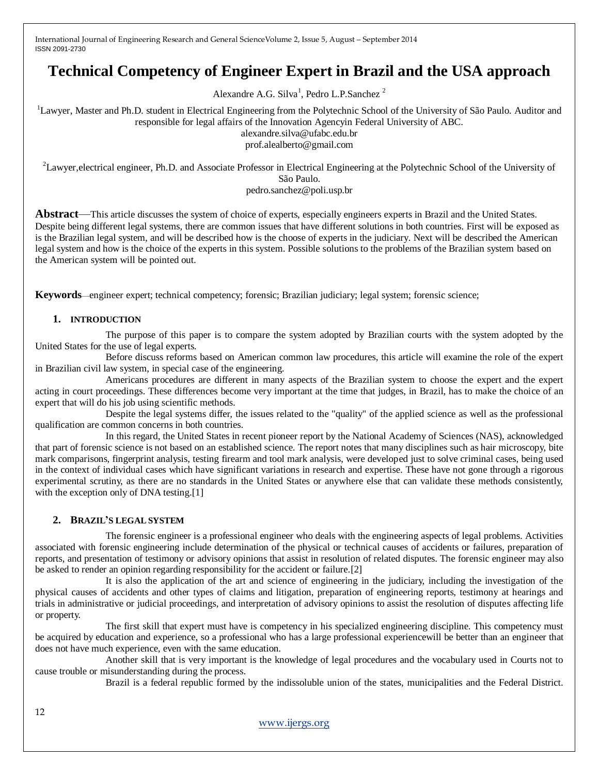# **Technical Competency of Engineer Expert in Brazil and the USA approach**

Alexandre A.G. Silva<sup>1</sup>, Pedro L.P.Sanchez<sup>2</sup>

<sup>1</sup>Lawyer, Master and Ph.D. student in Electrical Engineering from the Polytechnic School of the University of São Paulo. Auditor and responsible for legal affairs of the Innovation Agencyin Federal University of ABC.

alexandre.silva@ufabc.edu.br prof.alealberto@gmail.com

<sup>2</sup>Lawyer, electrical engineer, Ph.D. and Associate Professor in Electrical Engineering at the Polytechnic School of the University of São Paulo.

pedro.sanchez@poli.usp.br

**Abstract**—This article discusses the system of choice of experts, especially engineers experts in Brazil and the United States. Despite being different legal systems, there are common issues that have different solutions in both countries. First will be exposed as is the Brazilian legal system, and will be described how is the choose of experts in the judiciary. Next will be described the American legal system and how is the choice of the experts in this system. Possible solutions to the problems of the Brazilian system based on the American system will be pointed out.

**Keywords**—engineer expert; technical competency; forensic; Brazilian judiciary; legal system; forensic science;

### **1. INTRODUCTION**

The purpose of this paper is to compare the system adopted by Brazilian courts with the system adopted by the United States for the use of legal experts.

Before discuss reforms based on American common law procedures, this article will examine the role of the expert in Brazilian civil law system, in special case of the engineering.

Americans procedures are different in many aspects of the Brazilian system to choose the expert and the expert acting in court proceedings. These differences become very important at the time that judges, in Brazil, has to make the choice of an expert that will do his job using scientific methods.

Despite the legal systems differ, the issues related to the "quality" of the applied science as well as the professional qualification are common concerns in both countries.

In this regard, the United States in recent pioneer report by the National Academy of Sciences (NAS), acknowledged that part of forensic science is not based on an established science. The report notes that many disciplines such as hair microscopy, bite mark comparisons, fingerprint analysis, testing firearm and tool mark analysis, were developed just to solve criminal cases, being used in the context of individual cases which have significant variations in research and expertise. These have not gone through a rigorous experimental scrutiny, as there are no standards in the United States or anywhere else that can validate these methods consistently, with the exception only of DNA testing.[1]

#### **2. BRAZIL'S LEGAL SYSTEM**

The forensic engineer is a professional engineer who deals with the engineering aspects of legal problems. Activities associated with forensic engineering include determination of the physical or technical causes of accidents or failures, preparation of reports, and presentation of testimony or advisory opinions that assist in resolution of related disputes. The forensic engineer may also be asked to render an opinion regarding responsibility for the accident or failure.[2]

It is also the application of the art and science of engineering in the judiciary, including the investigation of the physical causes of accidents and other types of claims and litigation, preparation of engineering reports, testimony at hearings and trials in administrative or judicial proceedings, and interpretation of advisory opinions to assist the resolution of disputes affecting life or property.

The first skill that expert must have is competency in his specialized engineering discipline. This competency must be acquired by education and experience, so a professional who has a large professional experiencewill be better than an engineer that does not have much experience, even with the same education.

Another skill that is very important is the knowledge of legal procedures and the vocabulary used in Courts not to cause trouble or misunderstanding during the process.

Brazil is a federal republic formed by the indissoluble union of the states, municipalities and the Federal District.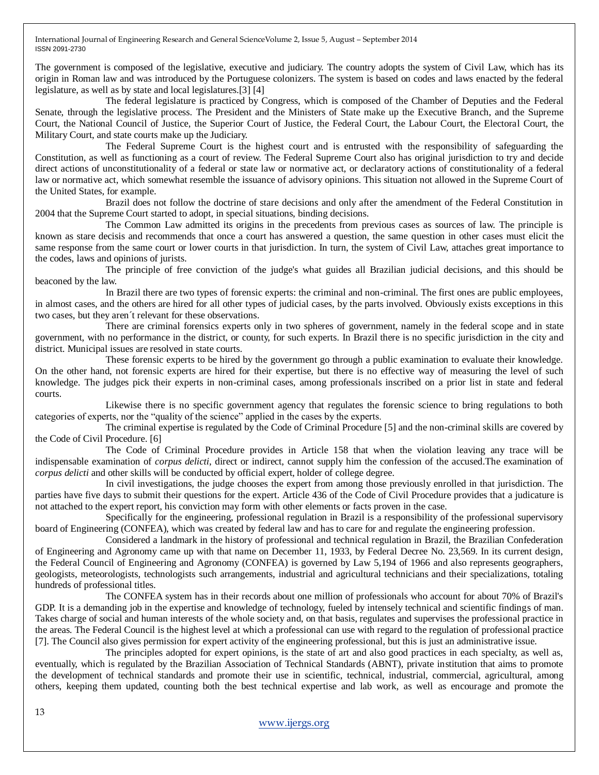The government is composed of the legislative, executive and judiciary. The country adopts the system of Civil Law, which has its origin in Roman law and was introduced by the Portuguese colonizers. The system is based on codes and laws enacted by the federal legislature, as well as by state and local legislatures.[3] [4]

The federal legislature is practiced by Congress, which is composed of the Chamber of Deputies and the Federal Senate, through the legislative process. The President and the Ministers of State make up the Executive Branch, and the Supreme Court, the National Council of Justice, the Superior Court of Justice, the Federal Court, the Labour Court, the Electoral Court, the Military Court, and state courts make up the Judiciary.

The Federal Supreme Court is the highest court and is entrusted with the responsibility of safeguarding the Constitution, as well as functioning as a court of review. The Federal Supreme Court also has original jurisdiction to try and decide direct actions of unconstitutionality of a federal or state law or normative act, or declaratory actions of constitutionality of a federal law or normative act, which somewhat resemble the issuance of advisory opinions. This situation not allowed in the Supreme Court of the United States, for example.

Brazil does not follow the doctrine of stare decisions and only after the amendment of the Federal Constitution in 2004 that the Supreme Court started to adopt, in special situations, binding decisions.

The Common Law admitted its origins in the precedents from previous cases as sources of law. The principle is known as stare decisis and recommends that once a court has answered a question, the same question in other cases must elicit the same response from the same court or lower courts in that jurisdiction. In turn, the system of Civil Law, attaches great importance to the codes, laws and opinions of jurists.

The principle of free conviction of the judge's what guides all Brazilian judicial decisions, and this should be beaconed by the law.

In Brazil there are two types of forensic experts: the criminal and non-criminal. The first ones are public employees, in almost cases, and the others are hired for all other types of judicial cases, by the parts involved. Obviously exists exceptions in this two cases, but they aren´t relevant for these observations.

There are criminal forensics experts only in two spheres of government, namely in the federal scope and in state government, with no performance in the district, or county, for such experts. In Brazil there is no specific jurisdiction in the city and district. Municipal issues are resolved in state courts.

These forensic experts to be hired by the government go through a public examination to evaluate their knowledge. On the other hand, not forensic experts are hired for their expertise, but there is no effective way of measuring the level of such knowledge. The judges pick their experts in non-criminal cases, among professionals inscribed on a prior list in state and federal courts.

Likewise there is no specific government agency that regulates the forensic science to bring regulations to both categories of experts, nor the "quality of the science" applied in the cases by the experts.

The criminal expertise is regulated by the Code of Criminal Procedure [5] and the non-criminal skills are covered by the Code of Civil Procedure. [6]

The Code of Criminal Procedure provides in Article 158 that when the violation leaving any trace will be indispensable examination of *corpus delicti*, direct or indirect, cannot supply him the confession of the accused.The examination of *corpus delicti* and other skills will be conducted by official expert, holder of college degree.

In civil investigations, the judge chooses the expert from among those previously enrolled in that jurisdiction. The parties have five days to submit their questions for the expert. Article 436 of the Code of Civil Procedure provides that a judicature is not attached to the expert report, his conviction may form with other elements or facts proven in the case.

Specifically for the engineering, professional regulation in Brazil is a responsibility of the professional supervisory board of Engineering (CONFEA), which was created by federal law and has to care for and regulate the engineering profession.

Considered a landmark in the history of professional and technical regulation in Brazil, the Brazilian Confederation of Engineering and Agronomy came up with that name on December 11, 1933, by Federal Decree No. 23,569. In its current design, the Federal Council of Engineering and Agronomy (CONFEA) is governed by Law 5,194 of 1966 and also represents geographers, geologists, meteorologists, technologists such arrangements, industrial and agricultural technicians and their specializations, totaling hundreds of professional titles.

The CONFEA system has in their records about one million of professionals who account for about 70% of Brazil's GDP. It is a demanding job in the expertise and knowledge of technology, fueled by intensely technical and scientific findings of man. Takes charge of social and human interests of the whole society and, on that basis, regulates and supervises the professional practice in the areas. The Federal Council is the highest level at which a professional can use with regard to the regulation of professional practice [7]. The Council also gives permission for expert activity of the engineering professional, but this is just an administrative issue.

The principles adopted for expert opinions, is the state of art and also good practices in each specialty, as well as, eventually, which is regulated by the Brazilian Association of Technical Standards (ABNT), private institution that aims to promote the development of technical standards and promote their use in scientific, technical, industrial, commercial, agricultural, among others, keeping them updated, counting both the best technical expertise and lab work, as well as encourage and promote the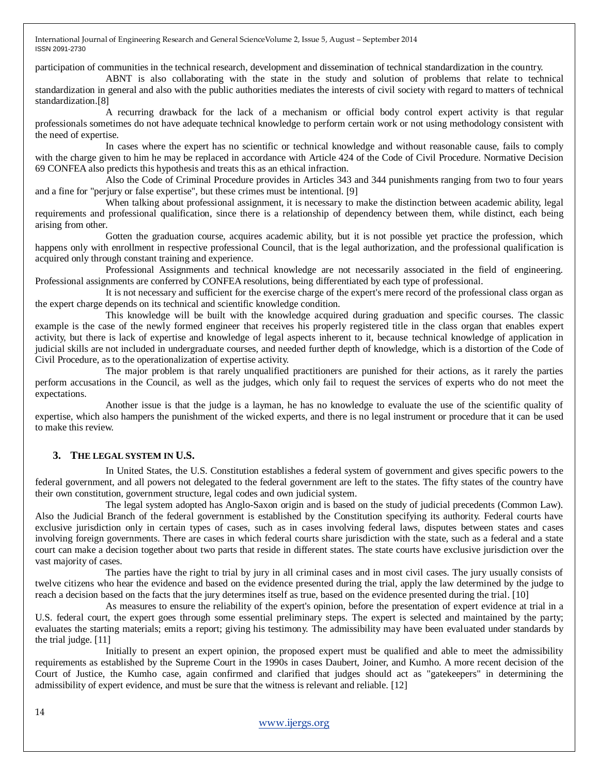participation of communities in the technical research, development and dissemination of technical standardization in the country.

ABNT is also collaborating with the state in the study and solution of problems that relate to technical standardization in general and also with the public authorities mediates the interests of civil society with regard to matters of technical standardization.[8]

A recurring drawback for the lack of a mechanism or official body control expert activity is that regular professionals sometimes do not have adequate technical knowledge to perform certain work or not using methodology consistent with the need of expertise.

In cases where the expert has no scientific or technical knowledge and without reasonable cause, fails to comply with the charge given to him he may be replaced in accordance with Article 424 of the Code of Civil Procedure. Normative Decision 69 CONFEA also predicts this hypothesis and treats this as an ethical infraction.

Also the Code of Criminal Procedure provides in Articles 343 and 344 punishments ranging from two to four years and a fine for "perjury or false expertise", but these crimes must be intentional. [9]

When talking about professional assignment, it is necessary to make the distinction between academic ability, legal requirements and professional qualification, since there is a relationship of dependency between them, while distinct, each being arising from other.

Gotten the graduation course, acquires academic ability, but it is not possible yet practice the profession, which happens only with enrollment in respective professional Council, that is the legal authorization, and the professional qualification is acquired only through constant training and experience.

Professional Assignments and technical knowledge are not necessarily associated in the field of engineering. Professional assignments are conferred by CONFEA resolutions, being differentiated by each type of professional.

It is not necessary and sufficient for the exercise charge of the expert's mere record of the professional class organ as the expert charge depends on its technical and scientific knowledge condition.

This knowledge will be built with the knowledge acquired during graduation and specific courses. The classic example is the case of the newly formed engineer that receives his properly registered title in the class organ that enables expert activity, but there is lack of expertise and knowledge of legal aspects inherent to it, because technical knowledge of application in judicial skills are not included in undergraduate courses, and needed further depth of knowledge, which is a distortion of the Code of Civil Procedure, as to the operationalization of expertise activity.

The major problem is that rarely unqualified practitioners are punished for their actions, as it rarely the parties perform accusations in the Council, as well as the judges, which only fail to request the services of experts who do not meet the expectations.

Another issue is that the judge is a layman, he has no knowledge to evaluate the use of the scientific quality of expertise, which also hampers the punishment of the wicked experts, and there is no legal instrument or procedure that it can be used to make this review.

# **3. THE LEGAL SYSTEM IN U.S.**

In United States, the U.S. Constitution establishes a federal system of government and gives specific powers to the federal government, and all powers not delegated to the federal government are left to the states. The fifty states of the country have their own constitution, government structure, legal codes and own judicial system.

The legal system adopted has Anglo-Saxon origin and is based on the study of judicial precedents (Common Law). Also the Judicial Branch of the federal government is established by the Constitution specifying its authority. Federal courts have exclusive jurisdiction only in certain types of cases, such as in cases involving federal laws, disputes between states and cases involving foreign governments. There are cases in which federal courts share jurisdiction with the state, such as a federal and a state court can make a decision together about two parts that reside in different states. The state courts have exclusive jurisdiction over the vast majority of cases.

The parties have the right to trial by jury in all criminal cases and in most civil cases. The jury usually consists of twelve citizens who hear the evidence and based on the evidence presented during the trial, apply the law determined by the judge to reach a decision based on the facts that the jury determines itself as true, based on the evidence presented during the trial. [10]

As measures to ensure the reliability of the expert's opinion, before the presentation of expert evidence at trial in a U.S. federal court, the expert goes through some essential preliminary steps. The expert is selected and maintained by the party; evaluates the starting materials; emits a report; giving his testimony. The admissibility may have been evaluated under standards by the trial judge. [11]

Initially to present an expert opinion, the proposed expert must be qualified and able to meet the admissibility requirements as established by the Supreme Court in the 1990s in cases Daubert, Joiner, and Kumho. A more recent decision of the Court of Justice, the Kumho case, again confirmed and clarified that judges should act as "gatekeepers" in determining the admissibility of expert evidence, and must be sure that the witness is relevant and reliable. [12]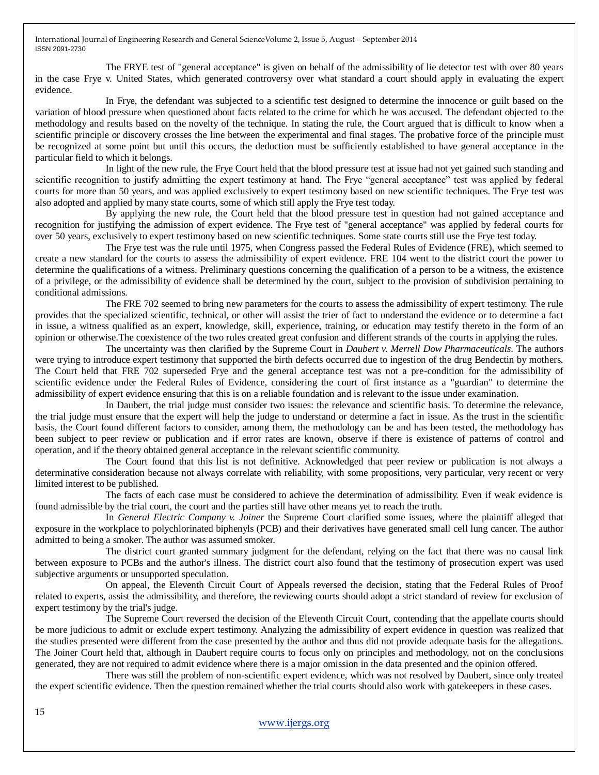The FRYE test of "general acceptance" is given on behalf of the admissibility of lie detector test with over 80 years in the case Frye v. United States, which generated controversy over what standard a court should apply in evaluating the expert evidence.

In Frye, the defendant was subjected to a scientific test designed to determine the innocence or guilt based on the variation of blood pressure when questioned about facts related to the crime for which he was accused. The defendant objected to the methodology and results based on the novelty of the technique. In stating the rule, the Court argued that is difficult to know when a scientific principle or discovery crosses the line between the experimental and final stages. The probative force of the principle must be recognized at some point but until this occurs, the deduction must be sufficiently established to have general acceptance in the particular field to which it belongs.

In light of the new rule, the Frye Court held that the blood pressure test at issue had not yet gained such standing and scientific recognition to justify admitting the expert testimony at hand. The Frye "general acceptance" test was applied by federal courts for more than 50 years, and was applied exclusively to expert testimony based on new scientific techniques. The Frye test was also adopted and applied by many state courts, some of which still apply the Frye test today.

By applying the new rule, the Court held that the blood pressure test in question had not gained acceptance and recognition for justifying the admission of expert evidence. The Frye test of "general acceptance" was applied by federal courts for over 50 years, exclusively to expert testimony based on new scientific techniques. Some state courts still use the Frye test today.

The Frye test was the rule until 1975, when Congress passed the Federal Rules of Evidence (FRE), which seemed to create a new standard for the courts to assess the admissibility of expert evidence. FRE 104 went to the district court the power to determine the qualifications of a witness. Preliminary questions concerning the qualification of a person to be a witness, the existence of a privilege, or the admissibility of evidence shall be determined by the court, subject to the provision of subdivision pertaining to conditional admissions.

The FRE 702 seemed to bring new parameters for the courts to assess the admissibility of expert testimony. The rule provides that the specialized scientific, technical, or other will assist the trier of fact to understand the evidence or to determine a fact in issue, a witness qualified as an expert, knowledge, skill, experience, training, or education may testify thereto in the form of an opinion or otherwise.The coexistence of the two rules created great confusion and different strands of the courts in applying the rules.

The uncertainty was then clarified by the Supreme Court in *Daubert v. Merrell Dow Pharmaceuticals*. The authors were trying to introduce expert testimony that supported the birth defects occurred due to ingestion of the drug Bendectin by mothers. The Court held that FRE 702 superseded Frye and the general acceptance test was not a pre-condition for the admissibility of scientific evidence under the Federal Rules of Evidence, considering the court of first instance as a "guardian" to determine the admissibility of expert evidence ensuring that this is on a reliable foundation and is relevant to the issue under examination.

In Daubert, the trial judge must consider two issues: the relevance and scientific basis. To determine the relevance, the trial judge must ensure that the expert will help the judge to understand or determine a fact in issue. As the trust in the scientific basis, the Court found different factors to consider, among them, the methodology can be and has been tested, the methodology has been subject to peer review or publication and if error rates are known, observe if there is existence of patterns of control and operation, and if the theory obtained general acceptance in the relevant scientific community.

The Court found that this list is not definitive. Acknowledged that peer review or publication is not always a determinative consideration because not always correlate with reliability, with some propositions, very particular, very recent or very limited interest to be published.

The facts of each case must be considered to achieve the determination of admissibility. Even if weak evidence is found admissible by the trial court, the court and the parties still have other means yet to reach the truth.

In *General Electric Company v. Joiner* the Supreme Court clarified some issues, where the plaintiff alleged that exposure in the workplace to polychlorinated biphenyls (PCB) and their derivatives have generated small cell lung cancer. The author admitted to being a smoker. The author was assumed smoker.

The district court granted summary judgment for the defendant, relying on the fact that there was no causal link between exposure to PCBs and the author's illness. The district court also found that the testimony of prosecution expert was used subjective arguments or unsupported speculation.

On appeal, the Eleventh Circuit Court of Appeals reversed the decision, stating that the Federal Rules of Proof related to experts, assist the admissibility, and therefore, the reviewing courts should adopt a strict standard of review for exclusion of expert testimony by the trial's judge.

The Supreme Court reversed the decision of the Eleventh Circuit Court, contending that the appellate courts should be more judicious to admit or exclude expert testimony. Analyzing the admissibility of expert evidence in question was realized that the studies presented were different from the case presented by the author and thus did not provide adequate basis for the allegations. The Joiner Court held that, although in Daubert require courts to focus only on principles and methodology, not on the conclusions generated, they are not required to admit evidence where there is a major omission in the data presented and the opinion offered.

There was still the problem of non-scientific expert evidence, which was not resolved by Daubert, since only treated the expert scientific evidence. Then the question remained whether the trial courts should also work with gatekeepers in these cases.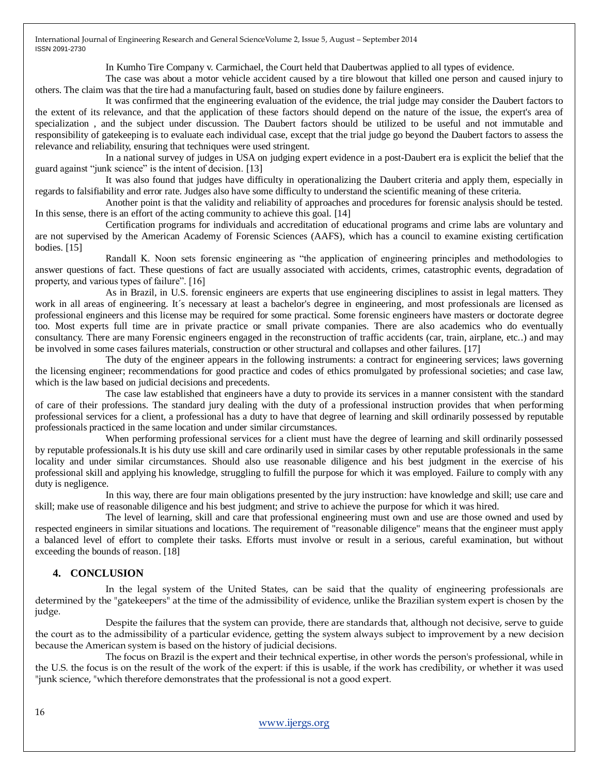In Kumho Tire Company v. Carmichael, the Court held that Daubertwas applied to all types of evidence.

The case was about a motor vehicle accident caused by a tire blowout that killed one person and caused injury to others. The claim was that the tire had a manufacturing fault, based on studies done by failure engineers.

It was confirmed that the engineering evaluation of the evidence, the trial judge may consider the Daubert factors to the extent of its relevance, and that the application of these factors should depend on the nature of the issue, the expert's area of specialization , and the subject under discussion. The Daubert factors should be utilized to be useful and not immutable and responsibility of gatekeeping is to evaluate each individual case, except that the trial judge go beyond the Daubert factors to assess the relevance and reliability, ensuring that techniques were used stringent.

In a national survey of judges in USA on judging expert evidence in a post-Daubert era is explicit the belief that the guard against "junk science" is the intent of decision. [13]

It was also found that judges have difficulty in operationalizing the Daubert criteria and apply them, especially in regards to falsifiability and error rate. Judges also have some difficulty to understand the scientific meaning of these criteria.

Another point is that the validity and reliability of approaches and procedures for forensic analysis should be tested. In this sense, there is an effort of the acting community to achieve this goal. [14]

Certification programs for individuals and accreditation of educational programs and crime labs are voluntary and are not supervised by the American Academy of Forensic Sciences (AAFS), which has a council to examine existing certification bodies. [15]

Randall K. Noon sets forensic engineering as "the application of engineering principles and methodologies to answer questions of fact. These questions of fact are usually associated with accidents, crimes, catastrophic events, degradation of property, and various types of failure". [16]

As in Brazil, in U.S. forensic engineers are experts that use engineering disciplines to assist in legal matters. They work in all areas of engineering. It´s necessary at least a bachelor's degree in engineering, and most professionals are licensed as professional engineers and this license may be required for some practical. Some forensic engineers have masters or doctorate degree too. Most experts full time are in private practice or small private companies. There are also academics who do eventually consultancy. There are many Forensic engineers engaged in the reconstruction of traffic accidents (car, train, airplane, etc..) and may be involved in some cases failures materials, construction or other structural and collapses and other failures. [17]

The duty of the engineer appears in the following instruments: a contract for engineering services; laws governing the licensing engineer; recommendations for good practice and codes of ethics promulgated by professional societies; and case law, which is the law based on judicial decisions and precedents.

The case law established that engineers have a duty to provide its services in a manner consistent with the standard of care of their professions. The standard jury dealing with the duty of a professional instruction provides that when performing professional services for a client, a professional has a duty to have that degree of learning and skill ordinarily possessed by reputable professionals practiced in the same location and under similar circumstances.

When performing professional services for a client must have the degree of learning and skill ordinarily possessed by reputable professionals.It is his duty use skill and care ordinarily used in similar cases by other reputable professionals in the same locality and under similar circumstances. Should also use reasonable diligence and his best judgment in the exercise of his professional skill and applying his knowledge, struggling to fulfill the purpose for which it was employed. Failure to comply with any duty is negligence.

In this way, there are four main obligations presented by the jury instruction: have knowledge and skill; use care and skill; make use of reasonable diligence and his best judgment; and strive to achieve the purpose for which it was hired.

The level of learning, skill and care that professional engineering must own and use are those owned and used by respected engineers in similar situations and locations. The requirement of "reasonable diligence" means that the engineer must apply a balanced level of effort to complete their tasks. Efforts must involve or result in a serious, careful examination, but without exceeding the bounds of reason. [18]

# **4. CONCLUSION**

In the legal system of the United States, can be said that the quality of engineering professionals are determined by the "gatekeepers" at the time of the admissibility of evidence, unlike the Brazilian system expert is chosen by the judge.

Despite the failures that the system can provide, there are standards that, although not decisive, serve to guide the court as to the admissibility of a particular evidence, getting the system always subject to improvement by a new decision because the American system is based on the history of judicial decisions.

The focus on Brazil is the expert and their technical expertise, in other words the person's professional, while in the U.S. the focus is on the result of the work of the expert: if this is usable, if the work has credibility, or whether it was used "junk science, "which therefore demonstrates that the professional is not a good expert.